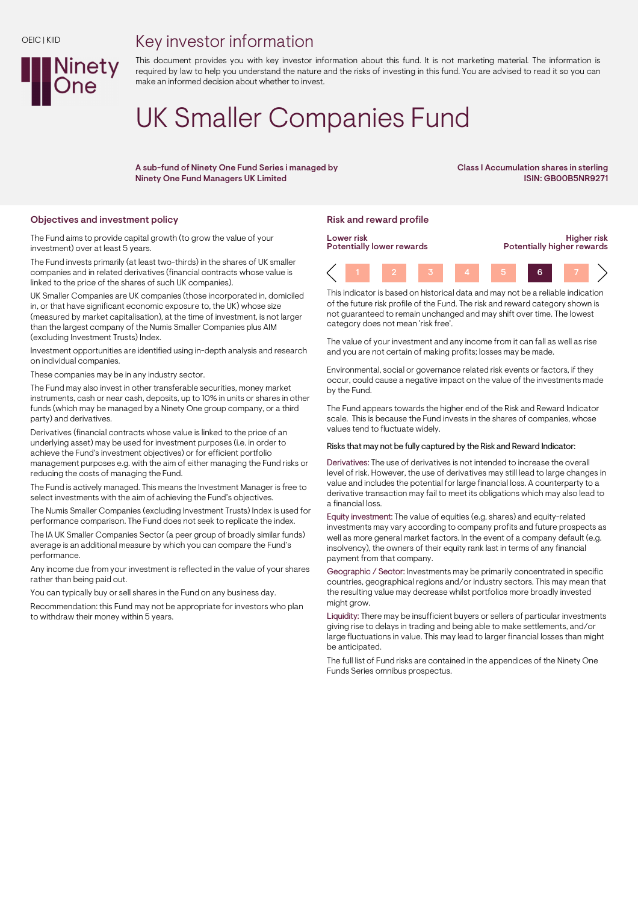## Key investor information



This document provides you with key investor information about this fund. It is not marketing material. The information is required by law to help you understand the nature and the risks of investing in this fund. You are advised to read it so you can make an informed decision about whether to invest.

# UK Smaller Companies Fund

A sub-fund of Ninety One Fund Series i managed by Ninety One Fund Managers UK Limited

Class I Accumulation shares in sterling ISIN: GB00B5NR9271

## Objectives and investment policy **Risk and reward profile** Risk and reward profile

The Fund aims to provide capital growth (to grow the value of your investment) over at least 5 years.

The Fund invests primarily (at least two-thirds) in the shares of UK smaller companies and in related derivatives (financial contracts whose value is linked to the price of the shares of such UK companies).

UK Smaller Companies are UK companies (those incorporated in, domiciled in, or that have significant economic exposure to, the UK) whose size (measured by market capitalisation), at the time of investment, is not larger than the largest company of the Numis Smaller Companies plus AIM (excluding Investment Trusts) Index.

Investment opportunities are identified using in-depth analysis and research on individual companies.

These companies may be in any industry sector.

The Fund may also invest in other transferable securities, money market instruments, cash or near cash, deposits, up to 10% in units or shares in other funds (which may be managed by a Ninety One group company, or a third party) and derivatives.

Derivatives (financial contracts whose value is linked to the price of an underlying asset) may be used for investment purposes (i.e. in order to achieve the Fund's investment objectives) or for efficient portfolio management purposes e.g. with the aim of either managing the Fund risks or reducing the costs of managing the Fund.

The Fund is actively managed. This means the Investment Manager is free to select investments with the aim of achieving the Fund's objectives.

The Numis Smaller Companies (excluding Investment Trusts) Index is used for performance comparison. The Fund does not seek to replicate the index.

The IA UK Smaller Companies Sector (a peer group of broadly similar funds) average is an additional measure by which you can compare the Fund's performance.

Any income due from your investment is reflected in the value of your shares rather than being paid out.

You can typically buy or sell shares in the Fund on any business day.

Recommendation: this Fund may not be appropriate for investors who plan to withdraw their money within 5 years.



This indicator is based on historical data and may not be a reliable indication of the future risk profile of the Fund. The risk and reward category shown is not guaranteed to remain unchanged and may shift over time. The lowest category does not mean 'risk free'.

The value of your investment and any income from it can fall as well as rise and you are not certain of making profits; losses may be made.

Environmental, social or governance related risk events or factors, if they occur, could cause a negative impact on the value of the investments made by the Fund.

The Fund appears towards the higher end of the Risk and Reward Indicator scale. This is because the Fund invests in the shares of companies, whose values tend to fluctuate widely.

#### Risks that may not be fully captured by the Risk and Reward Indicator:

Derivatives: The use of derivatives is not intended to increase the overall level of risk. However, the use of derivatives may still lead to large changes in value and includes the potential for large financial loss. A counterparty to a derivative transaction may fail to meet its obligations which may also lead to a financial loss.

Equity investment: The value of equities (e.g. shares) and equity-related investments may vary according to company profits and future prospects as well as more general market factors. In the event of a company default (e.g. insolvency), the owners of their equity rank last in terms of any financial payment from that company.

Geographic / Sector: Investments may be primarily concentrated in specific countries, geographical regions and/or industry sectors. This may mean that the resulting value may decrease whilst portfolios more broadly invested might grow.

Liquidity: There may be insufficient buyers or sellers of particular investments giving rise to delays in trading and being able to make settlements, and/or large fluctuations in value. This may lead to larger financial losses than might be anticipated.

The full list of Fund risks are contained in the appendices of the Ninety One Funds Series omnibus prospectus.